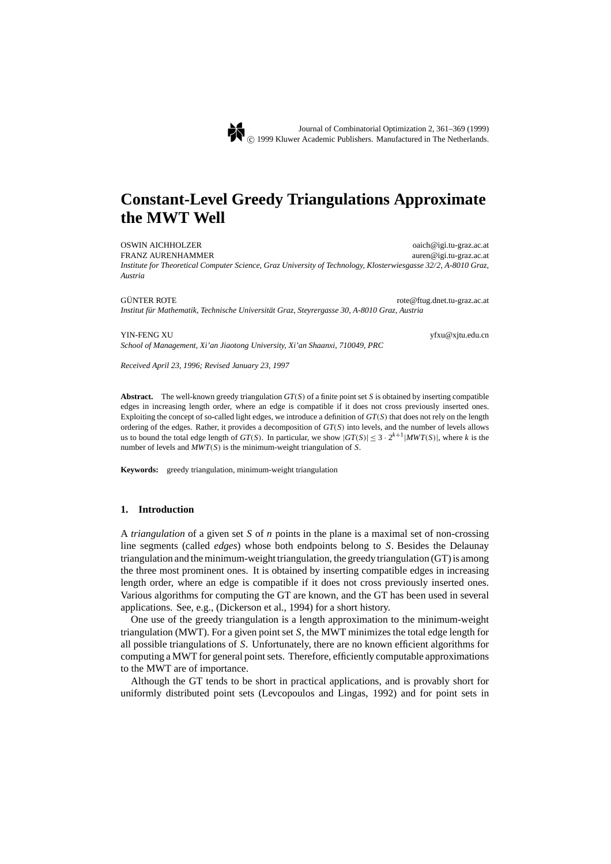# **Constant-Level Greedy Triangulations Approximate the MWT Well**

OSWIN AICHHOLZER oaich@igi.tu-graz.ac.at

FRANZ AURENHAMMER auren@igi.tu-graz.ac.at *Institute for Theoretical Computer Science, Graz University of Technology, Klosterwiesgasse 32/2, A-8010 Graz, Austria*

GÜNTER ROTE rote@ftug.dnet.tu-graz.ac.at ū

*Institut fur Mathematik, Technische Universit ¨ at Graz, Steyrergasse 30, A-8010 Graz, Austria ¨*

*School of Management, Xi'an Jiaotong University, Xi'an Shaanxi, 710049, PRC*

YIN-FENG XU yfxu@xjtu.edu.cn

*Received April 23, 1996; Revised January 23, 1997*

**Abstract.** The well-known greedy triangulation *GT*(*S*) of a finite point set *S* is obtained by inserting compatible edges in increasing length order, where an edge is compatible if it does not cross previously inserted ones. Exploiting the concept of so-called light edges, we introduce a definition of *GT*(*S*) that does not rely on the length ordering of the edges. Rather, it provides a decomposition of *GT*(*S*) into levels, and the number of levels allows us to bound the total edge length of *GT*(*S*). In particular, we show  $|GT(S)| \leq 3 \cdot 2^{k+1}|MWT(S)|$ , where *k* is the number of levels and *MWT*(*S*) is the minimum-weight triangulation of *S*.

**Keywords:** greedy triangulation, minimum-weight triangulation

## **1. Introduction**

A *triangulation* of a given set *S* of *n* points in the plane is a maximal set of non-crossing line segments (called *edges*) whose both endpoints belong to *S*. Besides the Delaunay triangulation and the minimum-weight triangulation, the greedy triangulation (GT) is among the three most prominent ones. It is obtained by inserting compatible edges in increasing length order, where an edge is compatible if it does not cross previously inserted ones. Various algorithms for computing the GT are known, and the GT has been used in several applications. See, e.g., (Dickerson et al., 1994) for a short history.

One use of the greedy triangulation is a length approximation to the minimum-weight triangulation (MWT). For a given point set *S*, the MWT minimizes the total edge length for all possible triangulations of *S*. Unfortunately, there are no known efficient algorithms for computing a MWT for general point sets. Therefore, efficiently computable approximations to the MWT are of importance.

Although the GT tends to be short in practical applications, and is provably short for uniformly distributed point sets (Levcopoulos and Lingas, 1992) and for point sets in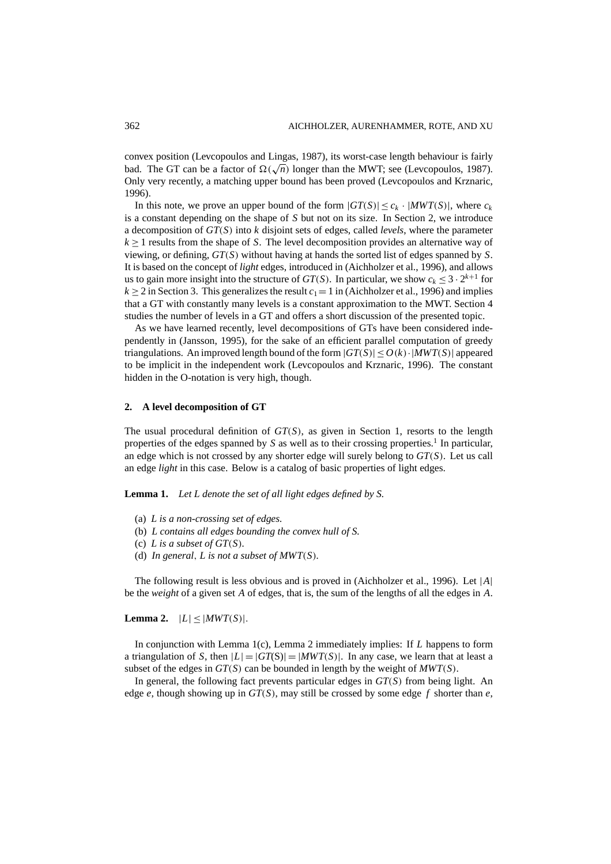convex position (Levcopoulos and Lingas, 1987), its worst-case length behaviour is fairly bad. The GT can be a factor of  $\Omega(\sqrt{n})$  longer than the MWT; see (Levcopoulos, 1987). Only very recently, a matching upper bound has been proved (Levcopoulos and Krznaric, 1996).

In this note, we prove an upper bound of the form  $|GT(S)| \leq c_k \cdot |MWT(S)|$ , where  $c_k$ is a constant depending on the shape of *S* but not on its size. In Section 2, we introduce a decomposition of *GT*(*S*) into *k* disjoint sets of edges, called *levels*, where the parameter *k* ≥ 1 results from the shape of *S*. The level decomposition provides an alternative way of viewing, or defining, *GT*(*S*) without having at hands the sorted list of edges spanned by *S*. It is based on the concept of *light* edges, introduced in (Aichholzer et al., 1996), and allows us to gain more insight into the structure of  $GT(S)$ . In particular, we show  $c_k < 3 \cdot 2^{k+1}$  for  $k > 2$  in Section 3. This generalizes the result  $c_1 = 1$  in (Aichholzer et al., 1996) and implies that a GT with constantly many levels is a constant approximation to the MWT. Section 4 studies the number of levels in a GT and offers a short discussion of the presented topic.

As we have learned recently, level decompositions of GTs have been considered independently in (Jansson, 1995), for the sake of an efficient parallel computation of greedy triangulations. An improved length bound of the form  $|GT(S)| \le O(k) \cdot |MWT(S)|$  appeared to be implicit in the independent work (Levcopoulos and Krznaric, 1996). The constant hidden in the O-notation is very high, though.

#### **2. A level decomposition of GT**

The usual procedural definition of  $GT(S)$ , as given in Section 1, resorts to the length properties of the edges spanned by *S* as well as to their crossing properties.1 In particular, an edge which is not crossed by any shorter edge will surely belong to *GT*(*S*). Let us call an edge *light* in this case. Below is a catalog of basic properties of light edges.

**Lemma 1.** *Let L denote the set of all light edges defined by S.*

- (a) *L is a non-crossing set of edges.*
- (b) *L contains all edges bounding the convex hull of S.*
- (c) *L is a subset of GT*(*S*)*.*
- (d) *In general*, *L is not a subset of MWT*(*S*)*.*

The following result is less obvious and is proved in (Aichholzer et al., 1996). Let |*A*| be the *weight* of a given set *A* of edges, that is, the sum of the lengths of all the edges in *A*.

**Lemma 2.**  $|L| \leq |MWT(S)|$ .

In conjunction with Lemma 1(c), Lemma 2 immediately implies: If *L* happens to form a triangulation of *S*, then  $|L| = |GT(S)| = |MWT(S)|$ . In any case, we learn that at least a subset of the edges in  $GT(S)$  can be bounded in length by the weight of  $MWT(S)$ .

In general, the following fact prevents particular edges in *GT*(*S*) from being light. An edge  $e$ , though showing up in  $GT(S)$ , may still be crossed by some edge  $f$  shorter than  $e$ ,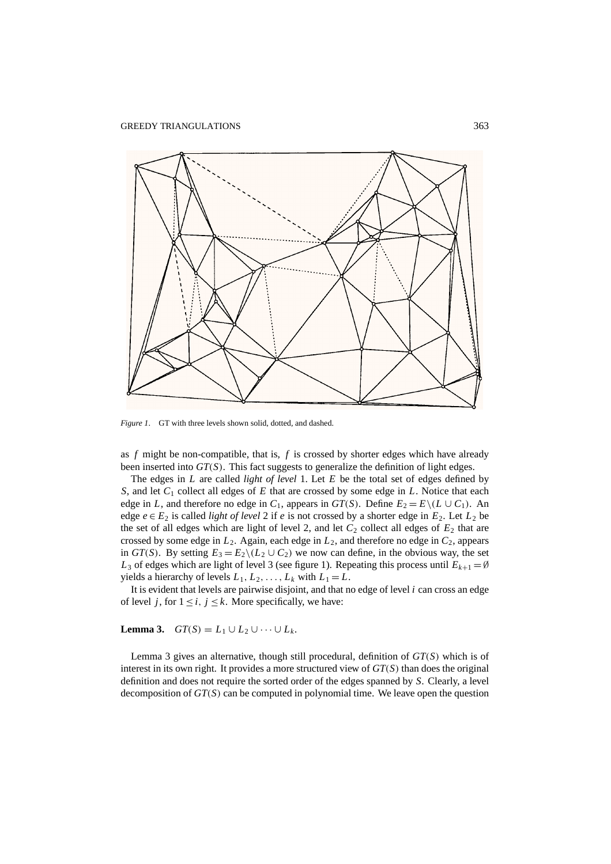

*Figure 1*. GT with three levels shown solid, dotted, and dashed.

as *f* might be non-compatible, that is, *f* is crossed by shorter edges which have already been inserted into *GT*(*S*). This fact suggests to generalize the definition of light edges.

The edges in *L* are called *light of level* 1. Let *E* be the total set of edges defined by *S*, and let *C*<sup>1</sup> collect all edges of *E* that are crossed by some edge in *L*. Notice that each edge in *L*, and therefore no edge in  $C_1$ , appears in  $GT(S)$ . Define  $E_2 = E\setminus (L \cup C_1)$ . An edge  $e \in E_2$  is called *light of level* 2 if *e* is not crossed by a shorter edge in  $E_2$ . Let  $L_2$  be the set of all edges which are light of level 2, and let  $C_2$  collect all edges of  $E_2$  that are crossed by some edge in  $L_2$ . Again, each edge in  $L_2$ , and therefore no edge in  $C_2$ , appears in *GT*(*S*). By setting  $E_3 = E_2 \setminus (L_2 \cup C_2)$  we now can define, in the obvious way, the set  $L_3$  of edges which are light of level 3 (see figure 1). Repeating this process until  $E_{k+1} = \emptyset$ yields a hierarchy of levels  $L_1, L_2, \ldots, L_k$  with  $L_1 = L$ .

It is evident that levels are pairwise disjoint, and that no edge of level *i* can cross an edge of level *j*, for  $1 \le i, j \le k$ . More specifically, we have:

## **Lemma 3.**  $GT(S) = L_1 ∪ L_2 ∪ ⋯ ∪ L_k$ .

Lemma 3 gives an alternative, though still procedural, definition of *GT*(*S*) which is of interest in its own right. It provides a more structured view of *GT*(*S*) than does the original definition and does not require the sorted order of the edges spanned by *S*. Clearly, a level decomposition of *GT*(*S*) can be computed in polynomial time. We leave open the question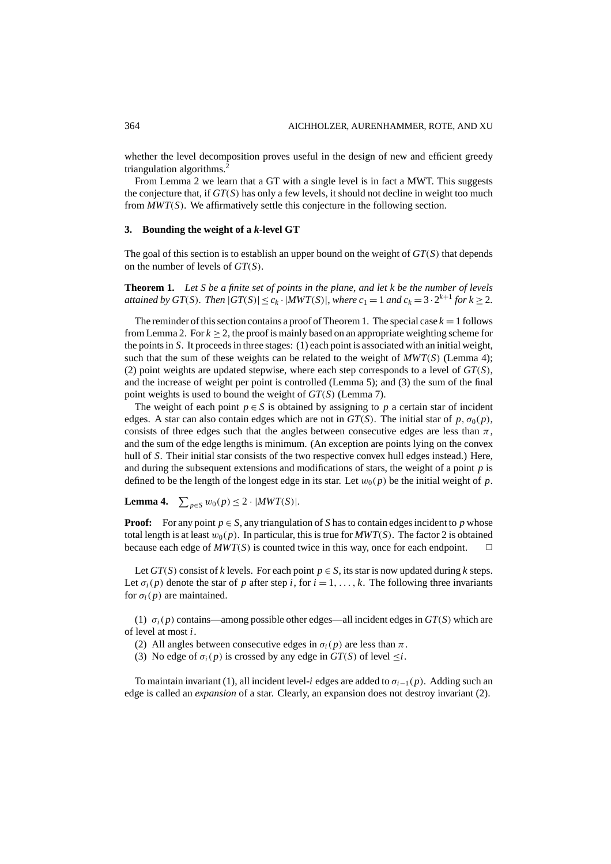whether the level decomposition proves useful in the design of new and efficient greedy triangulation algorithms.2

From Lemma 2 we learn that a GT with a single level is in fact a MWT. This suggests the conjecture that, if *GT*(*S*) has only a few levels, it should not decline in weight too much from *MWT*(*S*). We affirmatively settle this conjecture in the following section.

## **3. Bounding the weight of a** *k***-level GT**

The goal of this section is to establish an upper bound on the weight of *GT*(*S*) that depends on the number of levels of *GT*(*S*).

**Theorem 1.** *Let S be a finite set of points in the plane*, *and let k be the number of levels attained by GT*(*S*)*. Then*  $|GT(S)| \le c_k \cdot |MWT(S)|$ , *where*  $c_1 = 1$  *and*  $c_k = 3 \cdot 2^{k+1}$  *for*  $k \ge 2$ *.* 

The reminder of this section contains a proof of Theorem 1. The special case  $k = 1$  follows from Lemma 2. For  $k \geq 2$ , the proof is mainly based on an appropriate weighting scheme for the points in *S*. It proceeds in three stages: (1) each point is associated with an initial weight, such that the sum of these weights can be related to the weight of  $MWT(S)$  (Lemma 4); (2) point weights are updated stepwise, where each step corresponds to a level of *GT*(*S*), and the increase of weight per point is controlled (Lemma 5); and (3) the sum of the final point weights is used to bound the weight of *GT*(*S*) (Lemma 7).

The weight of each point  $p \in S$  is obtained by assigning to p a certain star of incident edges. A star can also contain edges which are not in  $GT(S)$ . The initial star of p,  $\sigma_0(p)$ , consists of three edges such that the angles between consecutive edges are less than  $\pi$ , and the sum of the edge lengths is minimum. (An exception are points lying on the convex hull of *S*. Their initial star consists of the two respective convex hull edges instead.) Here, and during the subsequent extensions and modifications of stars, the weight of a point *p* is defined to be the length of the longest edge in its star. Let  $w_0(p)$  be the initial weight of p.

**Lemma 4.**  $\sum_{p \in S} w_0(p) \le 2 \cdot |MWT(S)|$ *.* 

**Proof:** For any point  $p \in S$ , any triangulation of S has to contain edges incident to p whose total length is at least  $w_0(p)$ . In particular, this is true for  $MWT(S)$ . The factor 2 is obtained because each edge of  $MWT(S)$  is counted twice in this way, once for each endpoint.  $\square$ 

Let  $GT(S)$  consist of *k* levels. For each point  $p \in S$ , its star is now updated during *k* steps. Let  $\sigma_i(p)$  denote the star of p after step i, for  $i = 1, \ldots, k$ . The following three invariants for  $\sigma_i(p)$  are maintained.

(1)  $\sigma_i(p)$  contains—among possible other edges—all incident edges in  $GT(S)$  which are of level at most *i*.

(2) All angles between consecutive edges in  $\sigma_i(p)$  are less than  $\pi$ .

(3) No edge of  $\sigma_i(p)$  is crossed by any edge in  $GT(S)$  of level  $\leq i$ .

To maintain invariant (1), all incident level-*i* edges are added to σ*i*−1(*p*). Adding such an edge is called an *expansion* of a star. Clearly, an expansion does not destroy invariant (2).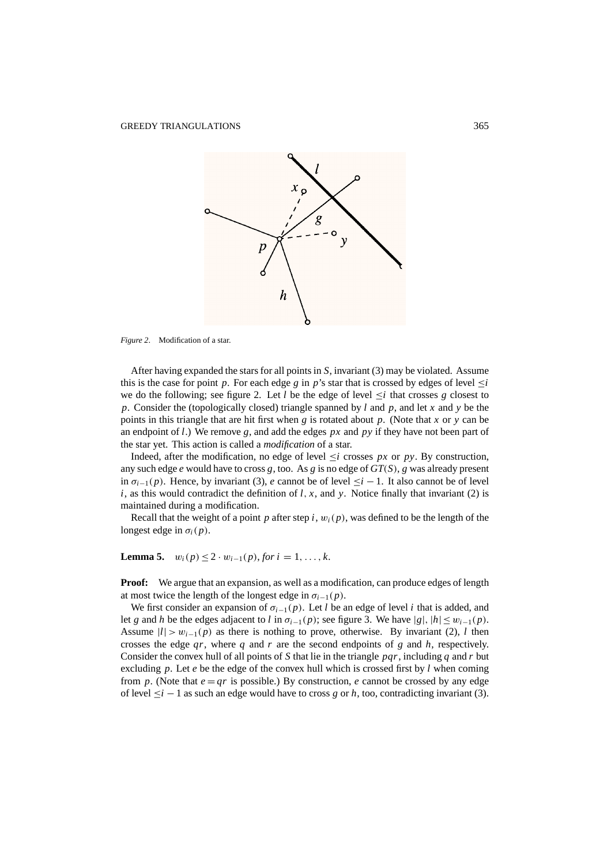

*Figure 2*. Modification of a star.

After having expanded the stars for all points in *S*, invariant (3) may be violated. Assume this is the case for point *p*. For each edge *g* in *p*'s star that is crossed by edges of level  $\leq i$ we do the following; see figure 2. Let *l* be the edge of level  $\leq i$  that crosses g closest to *p*. Consider the (topologically closed) triangle spanned by *l* and *p*, and let *x* and *y* be the points in this triangle that are hit first when *g* is rotated about *p*. (Note that *x* or *y* can be an endpoint of *l*.) We remove *g*, and add the edges  $px$  and  $py$  if they have not been part of the star yet. This action is called a *modification* of a star.

Indeed, after the modification, no edge of level  $\leq i$  crosses *px* or *py*. By construction, any such edge *e* would have to cross *g*, too. As *g* is no edge of *GT*(*S*), *g* was already present in  $\sigma_{i-1}(p)$ . Hence, by invariant (3), *e* cannot be of level  $\leq i-1$ . It also cannot be of level *i*, as this would contradict the definition of *l*, *x*, and *y*. Notice finally that invariant (2) is maintained during a modification.

Recall that the weight of a point *p* after step *i*,  $w_i(p)$ , was defined to be the length of the longest edge in  $\sigma_i(p)$ .

**Lemma 5.**  $w_i(p) \leq 2 \cdot w_{i-1}(p)$ , *for*  $i = 1, ..., k$ .

**Proof:** We argue that an expansion, as well as a modification, can produce edges of length at most twice the length of the longest edge in  $\sigma_{i-1}(p)$ .

We first consider an expansion of  $\sigma_{i-1}(p)$ . Let *l* be an edge of level *i* that is added, and let *g* and *h* be the edges adjacent to *l* in  $\sigma_{i-1}(p)$ ; see figure 3. We have  $|g|, |h| \leq w_{i-1}(p)$ . Assume  $|l| > w_{i-1}(p)$  as there is nothing to prove, otherwise. By invariant (2), *l* then crosses the edge *qr*, where *q* and *r* are the second endpoints of *g* and *h*, respectively. Consider the convex hull of all points of *S* that lie in the triangle *pqr*, including *q* and *r* but excluding  $p$ . Let  $e$  be the edge of the convex hull which is crossed first by  $l$  when coming from *p*. (Note that  $e = qr$  is possible.) By construction, *e* cannot be crossed by any edge of level  $\leq i - 1$  as such an edge would have to cross *g* or *h*, too, contradicting invariant (3).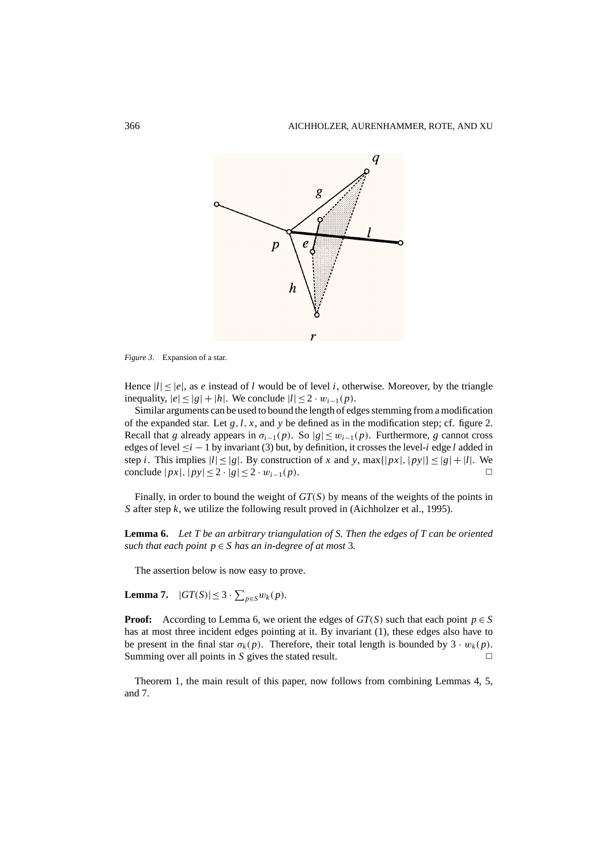

*Figure 3*. Expansion of a star.

Hence  $|l| < |e|$ , as *e* instead of *l* would be of level *i*, otherwise. Moreover, by the triangle inequality,  $|e| < |g| + |h|$ . We conclude  $|l| < 2 \cdot w_{i-1}(p)$ .

Similar arguments can be used to bound the length of edges stemming from a modification of the expanded star. Let  $g, l, x$ , and  $y$  be defined as in the modification step; cf. figure 2. Recall that *g* already appears in  $\sigma_{i-1}(p)$ . So  $|g| \leq w_{i-1}(p)$ . Furthermore, *g* cannot cross edges of level ≤*i* − 1 by invariant (3) but, by definition, it crosses the level-*i* edge *l* added in step *i*. This implies  $|l| \le |g|$ . By construction of *x* and *y*, max $\{|px|, |py|\} \le |g| + |l|$ . We conclude  $|px|, |py| ≤ 2 \cdot |g| ≤ 2 \cdot w_{i-1}(p)$ . <del></del>

Finally, in order to bound the weight of *GT*(*S*) by means of the weights of the points in *S* after step *k*, we utilize the following result proved in (Aichholzer et al., 1995).

**Lemma 6.** *Let T be an arbitrary triangulation of S. Then the edges of T can be oriented such that each point*  $p \in S$  *has an in-degree of at most* 3*.* 

The assertion below is now easy to prove.

**Lemma 7.**  $|GT(S)| \leq 3 \cdot \sum_{p \in S} w_k(p)$ .

**Proof:** According to Lemma 6, we orient the edges of  $GT(S)$  such that each point  $p \in S$ has at most three incident edges pointing at it. By invariant (1), these edges also have to be present in the final star  $\sigma_k(p)$ . Therefore, their total length is bounded by  $3 \cdot w_k(p)$ . Summing over all points in *S* gives the stated result.  $\Box$ 

Theorem 1, the main result of this paper, now follows from combining Lemmas 4, 5, and 7.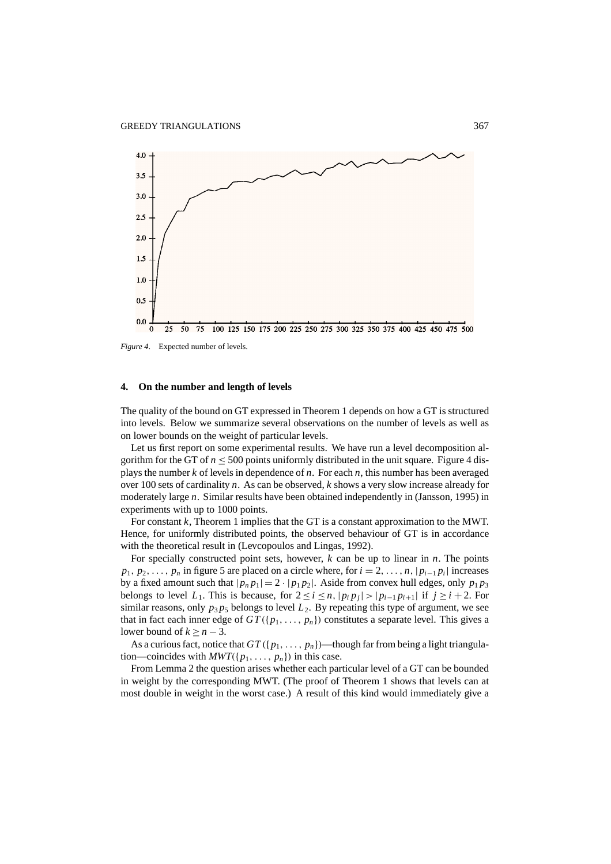

*Figure 4*. Expected number of levels.

#### **4. On the number and length of levels**

The quality of the bound on GT expressed in Theorem 1 depends on how a GT is structured into levels. Below we summarize several observations on the number of levels as well as on lower bounds on the weight of particular levels.

Let us first report on some experimental results. We have run a level decomposition algorithm for the GT of  $n \leq 500$  points uniformly distributed in the unit square. Figure 4 displays the number *k* of levels in dependence of *n*. For each *n*, this number has been averaged over 100 sets of cardinality *n*. As can be observed, *k* shows a very slow increase already for moderately large *n*. Similar results have been obtained independently in (Jansson, 1995) in experiments with up to 1000 points.

For constant *k*, Theorem 1 implies that the GT is a constant approximation to the MWT. Hence, for uniformly distributed points, the observed behaviour of GT is in accordance with the theoretical result in (Levcopoulos and Lingas, 1992).

For specially constructed point sets, however, *k* can be up to linear in *n*. The points  $p_1, p_2, \ldots, p_n$  in figure 5 are placed on a circle where, for  $i = 2, \ldots, n$ ,  $|p_{i-1}p_i|$  increases by a fixed amount such that  $|p_n p_1| = 2 \cdot |p_1 p_2|$ . Aside from convex hull edges, only  $p_1 p_3$ belongs to level  $L_1$ . This is because, for  $2 \le i \le n$ ,  $|p_i p_j| > |p_{i-1} p_{i+1}|$  if  $j \ge i+2$ . For similar reasons, only  $p_3 p_5$  belongs to level  $L_2$ . By repeating this type of argument, we see that in fact each inner edge of  $GT({p_1, \ldots, p_n})$  constitutes a separate level. This gives a lower bound of  $k > n - 3$ .

As a curious fact, notice that  $GT({p_1, \ldots, p_n})$ —though far from being a light triangulation—coincides with  $MWT({p_1, \ldots, p_n})$  in this case.

From Lemma 2 the question arises whether each particular level of a GT can be bounded in weight by the corresponding MWT. (The proof of Theorem 1 shows that levels can at most double in weight in the worst case.) A result of this kind would immediately give a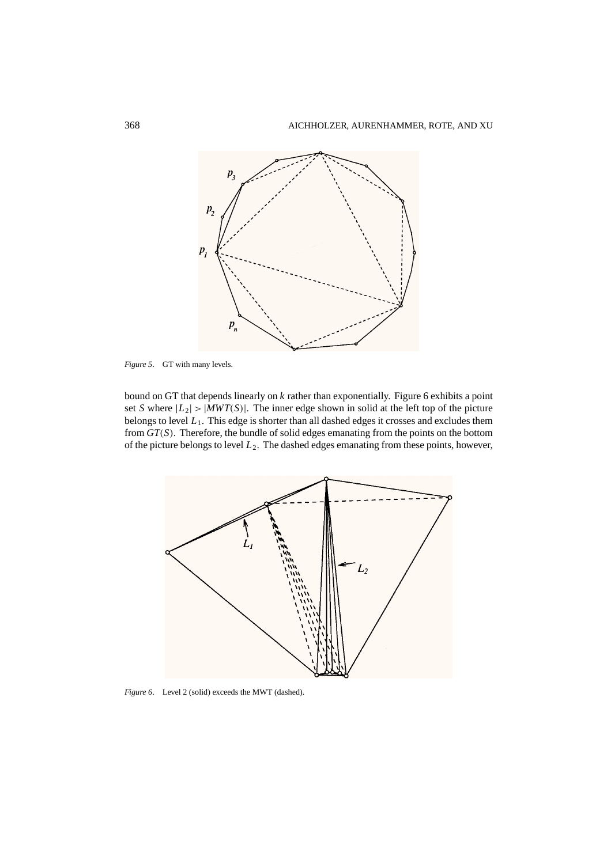

*Figure 5*. GT with many levels.

bound on GT that depends linearly on *k* rather than exponentially. Figure 6 exhibits a point set *S* where  $|L_2| > |MWT(S)|$ . The inner edge shown in solid at the left top of the picture belongs to level *L*1. This edge is shorter than all dashed edges it crosses and excludes them from *GT*(*S*). Therefore, the bundle of solid edges emanating from the points on the bottom of the picture belongs to level  $L_2$ . The dashed edges emanating from these points, however,



*Figure 6*. Level 2 (solid) exceeds the MWT (dashed).